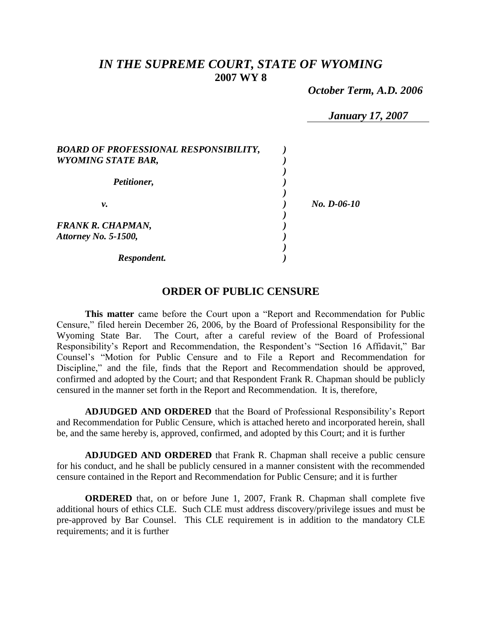# *IN THE SUPREME COURT, STATE OF WYOMING* **2007 WY 8**

 *October Term, A.D. 2006*

*January 17, 2007*

| <b>BOARD OF PROFESSIONAL RESPONSIBILITY,</b> |             |
|----------------------------------------------|-------------|
| <b>WYOMING STATE BAR,</b>                    |             |
|                                              |             |
| Petitioner,                                  |             |
|                                              |             |
| ν.                                           | No. D-06-10 |
|                                              |             |
| <b>FRANK R. CHAPMAN,</b>                     |             |
| Attorney No. 5-1500,                         |             |
|                                              |             |
| Respondent.                                  |             |

# **ORDER OF PUBLIC CENSURE**

**This matter** came before the Court upon a "Report and Recommendation for Public Censure," filed herein December 26, 2006, by the Board of Professional Responsibility for the Wyoming State Bar. The Court, after a careful review of the Board of Professional Responsibility's Report and Recommendation, the Respondent's "Section 16 Affidavit," Bar Counsel's "Motion for Public Censure and to File a Report and Recommendation for Discipline," and the file, finds that the Report and Recommendation should be approved, confirmed and adopted by the Court; and that Respondent Frank R. Chapman should be publicly censured in the manner set forth in the Report and Recommendation. It is, therefore,

**ADJUDGED AND ORDERED** that the Board of Professional Responsibility's Report and Recommendation for Public Censure, which is attached hereto and incorporated herein, shall be, and the same hereby is, approved, confirmed, and adopted by this Court; and it is further

**ADJUDGED AND ORDERED** that Frank R. Chapman shall receive a public censure for his conduct, and he shall be publicly censured in a manner consistent with the recommended censure contained in the Report and Recommendation for Public Censure; and it is further

**ORDERED** that, on or before June 1, 2007, Frank R. Chapman shall complete five additional hours of ethics CLE. Such CLE must address discovery/privilege issues and must be pre-approved by Bar Counsel. This CLE requirement is in addition to the mandatory CLE requirements; and it is further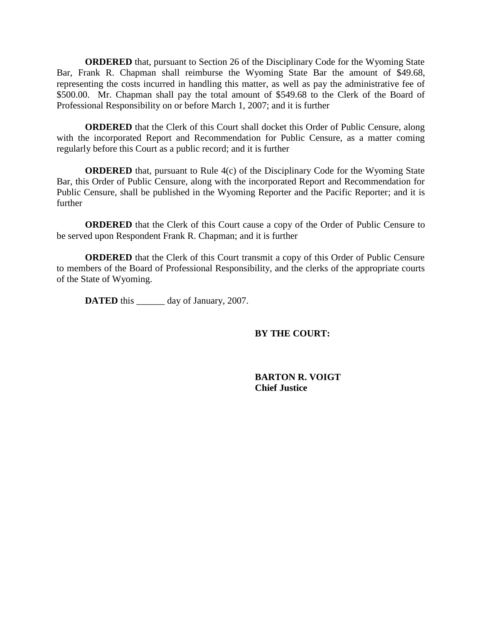**ORDERED** that, pursuant to Section 26 of the Disciplinary Code for the Wyoming State Bar, Frank R. Chapman shall reimburse the Wyoming State Bar the amount of \$49.68, representing the costs incurred in handling this matter, as well as pay the administrative fee of \$500.00. Mr. Chapman shall pay the total amount of \$549.68 to the Clerk of the Board of Professional Responsibility on or before March 1, 2007; and it is further

**ORDERED** that the Clerk of this Court shall docket this Order of Public Censure, along with the incorporated Report and Recommendation for Public Censure, as a matter coming regularly before this Court as a public record; and it is further

**ORDERED** that, pursuant to Rule 4(c) of the Disciplinary Code for the Wyoming State Bar, this Order of Public Censure, along with the incorporated Report and Recommendation for Public Censure, shall be published in the Wyoming Reporter and the Pacific Reporter; and it is further

**ORDERED** that the Clerk of this Court cause a copy of the Order of Public Censure to be served upon Respondent Frank R. Chapman; and it is further

**ORDERED** that the Clerk of this Court transmit a copy of this Order of Public Censure to members of the Board of Professional Responsibility, and the clerks of the appropriate courts of the State of Wyoming.

**DATED** this \_\_\_\_\_\_ day of January, 2007.

# **BY THE COURT:**

**BARTON R. VOIGT Chief Justice**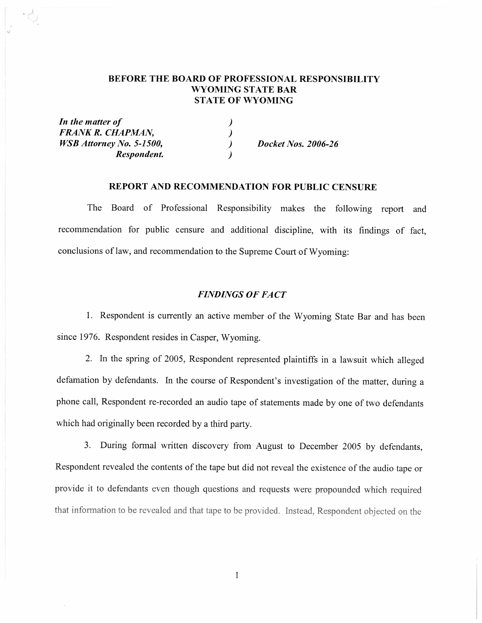## BEFORE THE BOARD OF PROFESSIONAL RESPONSIBILITY WYOMING STATE BAR **STATE OF WYOMING**

| In the matter of                |                            |
|---------------------------------|----------------------------|
| FRANK R. CHAPMAN,               |                            |
| <i>WSB Attorney No. 5-1500,</i> | <b>Docket Nos. 2006-26</b> |
| Respondent.                     |                            |

 $\phi$ 

## REPORT AND RECOMMENDATION FOR PUBLIC CENSURE

The Board of Professional Responsibility makes the following report and recommendation for public censure and additional discipline, with its findings of fact, conclusions of law, and recommendation to the Supreme Court of Wyoming:

## **FINDINGS OF FACT**

1. Respondent is currently an active member of the Wyoming State Bar and has been since 1976. Respondent resides in Casper, Wyoming.

2. In the spring of 2005, Respondent represented plaintiffs in a lawsuit which alleged defamation by defendants. In the course of Respondent's investigation of the matter, during a phone call, Respondent re-recorded an audio tape of statements made by one of two defendants which had originally been recorded by a third party.

3. During formal written discovery from August to December 2005 by defendants, Respondent revealed the contents of the tape but did not reveal the existence of the audio tape or provide it to defendants even though questions and requests were propounded which required that information to be revealed and that tape to be provided. Instead, Respondent objected on the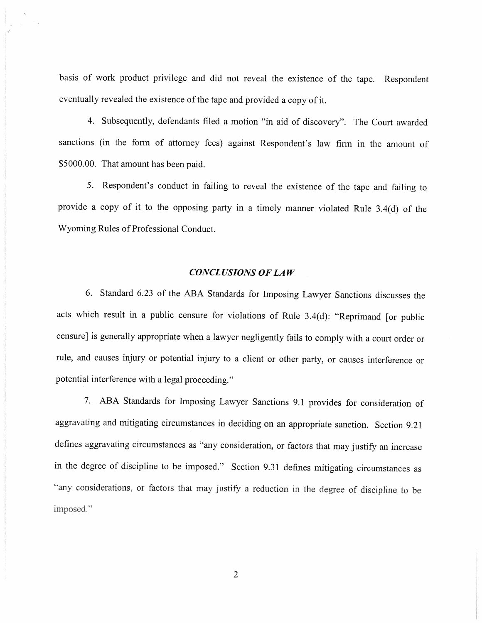basis of work product privilege and did not reveal the existence of the tape. Respondent eventually revealed the existence of the tape and provided a copy of it.

4. Subsequently, defendants filed a motion "in aid of discovery". The Court awarded sanctions (in the form of attorney fees) against Respondent's law firm in the amount of \$5000.00. That amount has been paid.

5. Respondent's conduct in failing to reveal the existence of the tape and failing to provide a copy of it to the opposing party in a timely manner violated Rule 3.4(d) of the Wyoming Rules of Professional Conduct.

#### **CONCLUSIONS OF LAW**

6. Standard 6.23 of the ABA Standards for Imposing Lawyer Sanctions discusses the acts which result in a public censure for violations of Rule 3.4(d): "Reprimand [or public censure] is generally appropriate when a lawyer negligently fails to comply with a court order or rule, and causes injury or potential injury to a client or other party, or causes interference or potential interference with a legal proceeding."

7. ABA Standards for Imposing Lawyer Sanctions 9.1 provides for consideration of aggravating and mitigating circumstances in deciding on an appropriate sanction. Section 9.21 defines aggravating circumstances as "any consideration, or factors that may justify an increase in the degree of discipline to be imposed." Section 9.31 defines mitigating circumstances as "any considerations, or factors that may justify a reduction in the degree of discipline to be imposed."

 $\overline{2}$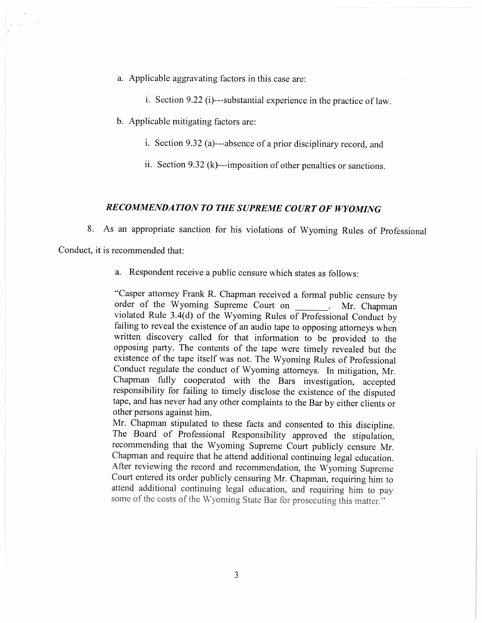a. Applicable aggravating factors in this case are:

i. Section 9.22 (i)---substantial experience in the practice of law.

b. Applicable mitigating factors are:

i. Section 9.32 (a)---absence of a prior disciplinary record, and

ii. Section 9.32 (k)---imposition of other penalties or sanctions.

#### RECOMMENDATION TO THE SUPREME COURT OF WYOMING

8. As an appropriate sanction for his violations of Wyoming Rules of Professional

Conduct, it is recommended that:

a. Respondent receive a public censure which states as follows:

"Casper attorney Frank R. Chapman received a formal public censure by order of the Wyoming Supreme Court on Mr. Chapman violated Rule 3.4(d) of the Wyoming Rules of Professional Conduct by failing to reveal the existence of an audio tape to opposing attorneys when written discovery called for that information to be provided to the opposing party. The contents of the tape were timely revealed but the existence of the tape itself was not. The Wyoming Rules of Professional Conduct regulate the conduct of Wyoming attorneys. In mitigation, Mr. Chapman fully cooperated with the Bars investigation, accepted responsibility for failing to timely disclose the existence of the disputed tape, and has never had any other complaints to the Bar by either clients or other persons against him.

Mr. Chapman stipulated to these facts and consented to this discipline. The Board of Professional Responsibility approved the stipulation, recommending that the Wyoming Supreme Court publicly censure Mr. Chapman and require that he attend additional continuing legal education. After reviewing the record and recommendation, the Wyoming Supreme Court entered its order publicly censuring Mr. Chapman, requiring him to attend additional continuing legal education, and requiring him to pay some of the costs of the Wyoming State Bar for prosecuting this matter."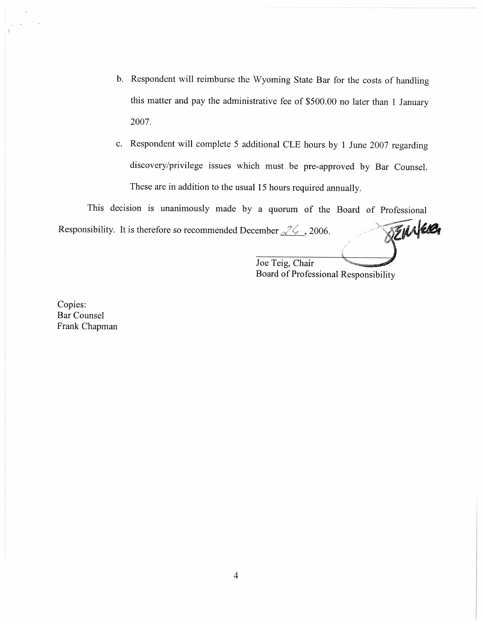- b. Respondent will reimburse the Wyoming State Bar for the costs of handling this matter and pay the administrative fee of \$500.00 no later than 1 January 2007.
- c. Respondent will complete 5 additional CLE hours by 1 June 2007 regarding discovery/privilege issues which must be pre-approved by Bar Counsel. These are in addition to the usual 15 hours required annually.

This decision is unanimously made by a quorum of the Board of Professional BEMIER Responsibility. It is therefore so recommended December  $\sqrt{2\zeta}$ , 2006.

Joe Teig, Chair Board of Professional Responsibility

Copies: **Bar Counsel** Frank Chapman